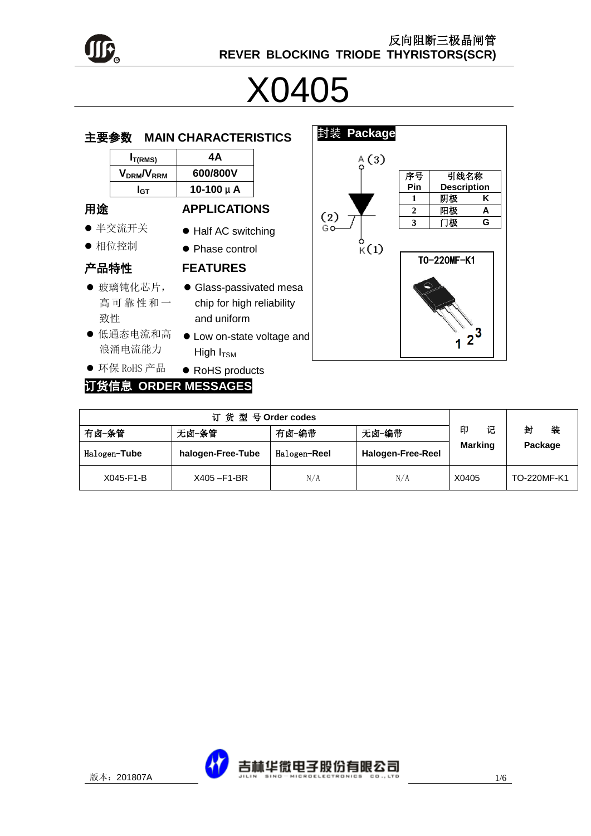

# X0405

| 主要参数 |                     | <b>MAIN CHARACTERISTICS</b>                                        |  |
|------|---------------------|--------------------------------------------------------------------|--|
|      | $I_{T(RMS)}$        | 4А                                                                 |  |
|      | $V_{DRM}/V_{RRM}$   | 600/800V                                                           |  |
|      | I <sub>GT</sub>     | $10-100 \mu A$                                                     |  |
| 用途   |                     | <b>APPLICATIONS</b>                                                |  |
|      | ● 半交流开关             | • Half AC switching                                                |  |
|      | ● 相位控制              | • Phase control                                                    |  |
| 产品特性 |                     | <b>FEATURES</b>                                                    |  |
| 致性   | ● 玻璃钝化芯片,<br>高可靠性和一 | • Glass-passivated mes<br>chip for high reliability<br>and uniform |  |
|      | ● 低通态电流和高<br>浪涌电流能力 | • Low on-state voltage a<br>High $I_{TSM}$                         |  |



#### ● 环保 RoHS 产品 ● RoHS products 订货信息 **ORDER MESSAGES**

|              | 订货型号Order codes   |              |                          |                |             |
|--------------|-------------------|--------------|--------------------------|----------------|-------------|
| 有卤-条管        | 无卤-条管             | 有卤-编带        | 无卤-编带                    | 印<br>记         | 封<br>装      |
| Halogen-Tube | halogen-Free-Tube | Halogen-Reel | <b>Halogen-Free-Reel</b> | <b>Marking</b> | Package     |
| X045-F1-B    | X405-F1-BR        | N/A          | N/A                      | X0405          | TO-220MF-K1 |

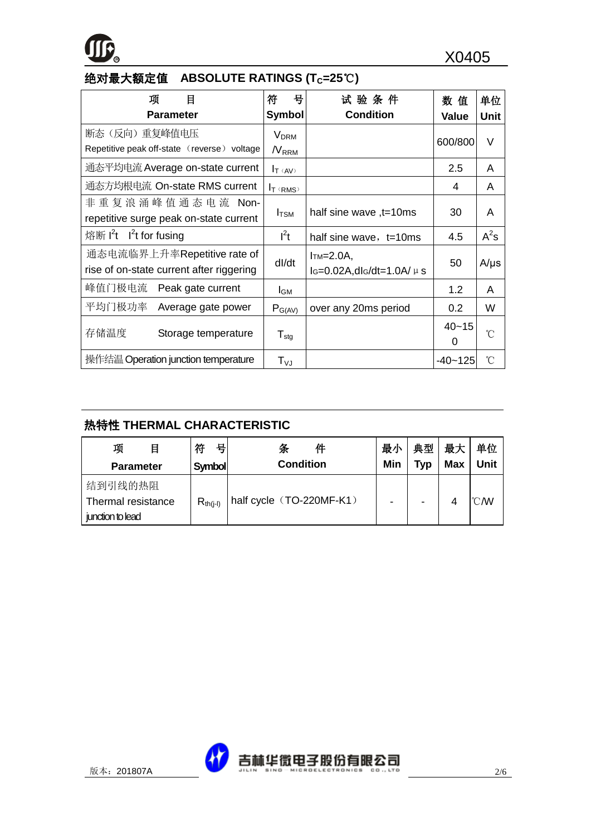

## 绝对最大额定值 **ABSOLUTE RATINGS (TC=25**℃**)**

| 目<br>项                                      | 믁<br>符                       | 试 验 条 件                            | 数值          | 单位        |
|---------------------------------------------|------------------------------|------------------------------------|-------------|-----------|
| <b>Parameter</b>                            | <b>Symbol</b>                | <b>Condition</b>                   | Value       | Unit      |
| 断态 (反向) 重复峰值电压                              | $V_{DRM}$                    |                                    | 600/800     | $\vee$    |
| Repetitive peak off-state (reverse) voltage | $N_{RRM}$                    |                                    |             |           |
| 通态平均电流 Average on-state current             | $I_T$ ( $AV$ )               |                                    | 2.5         | A         |
| 通态方均根电流 On-state RMS current                | $I_T$ (RMS)                  |                                    | 4           | A         |
| 非 重 复 浪 涌 峰 值 通 态 电 流 Non-                  |                              |                                    | 30          |           |
| repetitive surge peak on-state current      | $I_{\text{TSM}}$             | half sine wave, t=10ms             |             | A         |
| 熔断 $I^2t$ I <sup>2</sup> t for fusing       | $l^2t$                       | half sine wave, $t=10ms$           | 4.5         | $A^2s$    |
| 通态电流临界上升率Repetitive rate of                 | dl/dt                        | $Im=2.0A$ ,                        | 50          | $A/\mu s$ |
| rise of on-state current after riggering    |                              | $I_G=0.02A$ , dl $G/dt=1.0A/\mu s$ |             |           |
| 峰值门极电流<br>Peak gate current                 | I <sub>GM</sub>              |                                    | 1.2         | A         |
| 平均门极功率<br>Average gate power                | $P_{G(AV)}$                  | over any 20ms period               | 0.2         | W         |
| 存储温度<br>Storage temperature                 |                              |                                    | $40 - 15$   | °C        |
|                                             | ${\mathsf T}_{\textsf{stg}}$ |                                    | 0           |           |
| 操作结温 Operation junction temperature         | $\mathsf{T}_{\mathsf{VJ}}$   |                                    | $-40 - 125$ | °C        |

### 热特性 **THERMAL CHARACTERISTIC**

| 项<br>目             | 符<br>뮥        | 件<br>条                   | 最小  | 典型                       | 最大         | 单位   |
|--------------------|---------------|--------------------------|-----|--------------------------|------------|------|
| <b>Parameter</b>   | <b>Symbol</b> | <b>Condition</b>         | Min | Tvp                      | <b>Max</b> | Unit |
| 结到引线的热阻            |               |                          |     |                          |            |      |
| Thermal resistance | $R_{th(i-l)}$ | half cycle (TO-220MF-K1) |     | $\overline{\phantom{0}}$ | 4          | °C M |
| junction to lead   |               |                          |     |                          |            |      |

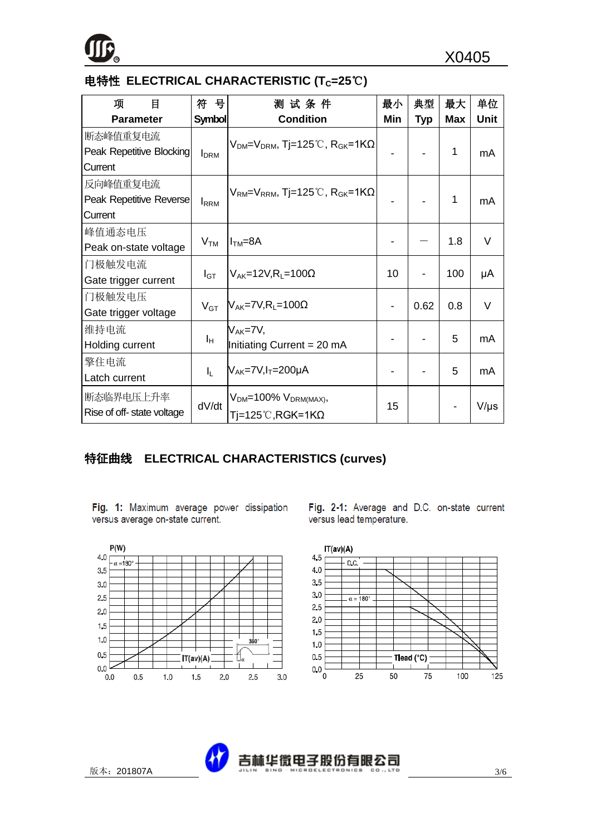

#### 电特性 **ELECTRICAL CHARACTERISTIC (TC=25**℃**)**

| 项<br>目                    | 符<br>号                  | 测试条件                                                                           | 最小  | 典型         | 最大         | 单位          |
|---------------------------|-------------------------|--------------------------------------------------------------------------------|-----|------------|------------|-------------|
| <b>Parameter</b>          | <b>Symbol</b>           | <b>Condition</b>                                                               | Min | <b>Typ</b> | <b>Max</b> | <b>Unit</b> |
| 断态峰值重复电流                  |                         | $V_{DM} = V_{DRM}$ , Tj=125°C, R <sub>GK</sub> =1KQ                            |     |            |            |             |
| Peak Repetitive Blocking  | <b>I</b> <sub>DRM</sub> |                                                                                |     |            | 1          | mA          |
| Current                   |                         |                                                                                |     |            |            |             |
| 反向峰值重复电流                  |                         | $\rm V_{\rm RM}{=}\rm V_{\rm RRM}$ , Tj=125˚C, $\rm R_{\rm GK}{=}\rm 1K\Omega$ |     |            |            |             |
| Peak Repetitive Reverse   | <b>I</b> RRM            |                                                                                |     |            | 1          | mA          |
| Current                   |                         |                                                                                |     |            |            |             |
| 峰值通态电压                    |                         |                                                                                |     |            |            | $\vee$      |
| Peak on-state voltage     | V <sub>TM</sub>         | $ITM=8A$                                                                       |     |            | 1.8        |             |
| 门极触发电流                    |                         |                                                                                |     |            |            |             |
| Gate trigger current      | $I_{\text{GT}}$         | $V_{AK}$ =12V,R <sub>1</sub> =100 $\Omega$                                     | 10  |            | 100        | μA          |
| 门极触发电压                    |                         |                                                                                |     |            |            | $\vee$      |
| Gate trigger voltage      | $V_{GT}$                | $V_{AK}$ =7V,R <sub>L</sub> =100 $\Omega$                                      |     | 0.62       | 0.8        |             |
| 维持电流                      |                         | $V_{AK} = 7V$                                                                  |     |            |            |             |
| Holding current           | ΙH.                     | Initiating Current = 20 mA                                                     |     |            | 5          | mA          |
| 擎住电流                      |                         |                                                                                |     |            |            |             |
| Latch current             | $I_{L}$                 | $V_{AK}$ =7V, $I_T$ =200µA                                                     |     |            | 5          | mA          |
| 断态临界电压上升率                 | dV/dt                   | $VDM=100% VDRM(MAX)$                                                           |     |            |            |             |
| Rise of off-state voltage |                         | $Ti=125^{\circ}C, RGK=1K\Omega$                                                | 15  |            |            | $V/\mu s$   |

#### 特征曲线 **ELECTRICAL CHARACTERISTICS (curves)**

Fig. 1: Maximum average power dissipation versus average on-state current.



Fig. 2-1: Average and D.C. on-state current versus lead temperature.



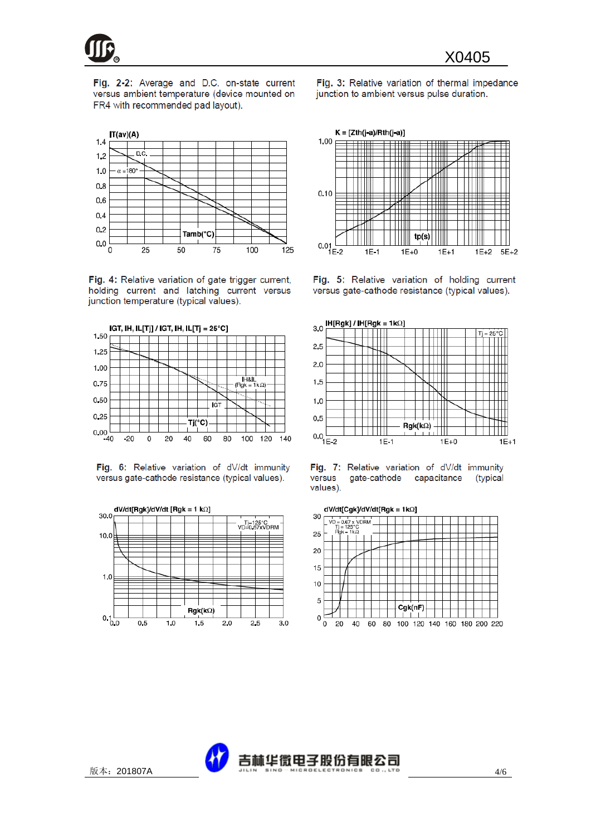

Fig. 2-2: Average and D.C. on-state current versus ambient temperature (device mounted on FR4 with recommended pad layout).

Fig. 3: Relative variation of thermal impedance junction to ambient versus pulse duration.



Fig. 4: Relative variation of gate trigger current, holding current and latching current versus junction temperature (typical values).



Fig. 6: Relative variation of dV/dt immunity versus gate-cathode resistance (typical values).





Fig. 5: Relative variation of holding current versus gate-cathode resistance (typical values).







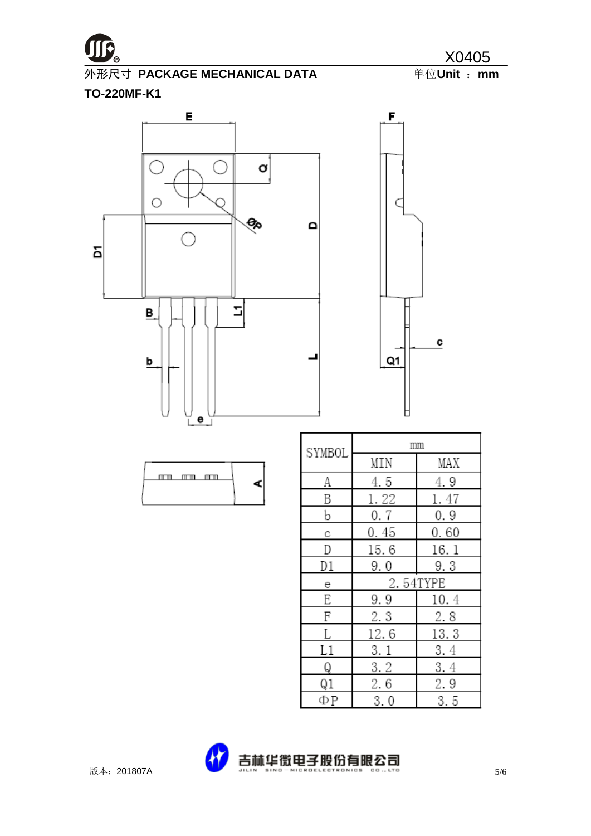

**<sup>R</sup>** X0405 **M形尺寸 PACKAGE MECHANICAL DATA** 

C

٦

**TO-220MF-K1**



| n an an |  |
|---------|--|
|---------|--|

| SYMBOL |          | mm   |  |
|--------|----------|------|--|
|        | MIN      | MAX  |  |
| A      | 4.5      | 4.9  |  |
| B      | 1.22     | 1.47 |  |
| b      | 0.7      | 0.9  |  |
| C      | 0.45     | 0.60 |  |
| D      | 15.6     | 16.1 |  |
| D1     | 9.0      | 9.3  |  |
|        | 2.54TYPE |      |  |
| е      |          |      |  |
| Ε      | 9.9      | 10.4 |  |
| F      | 2.3      | 2.8  |  |
|        | 12.6     | 13.3 |  |
| L1     | 3.1      | 3.4  |  |
| Q      | 3.2      | 3.4  |  |
| Q1     | 2.6      | 2.9  |  |